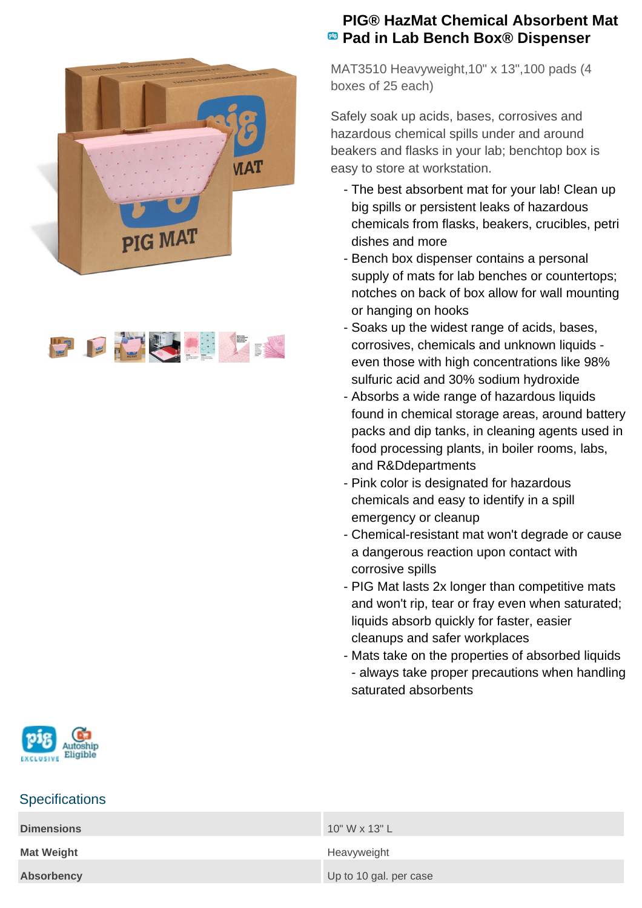



## **PIG® HazMat Chemical Absorbent Mat Pad in Lab Bench Box® Dispenser**

MAT3510 Heavyweight,10" x 13",100 pads (4 boxes of 25 each)

Safely soak up acids, bases, corrosives and hazardous chemical spills under and around beakers and flasks in your lab; benchtop box is easy to store at workstation.

- The best absorbent mat for your lab! Clean up big spills or persistent leaks of hazardous chemicals from flasks, beakers, crucibles, petri dishes and more
- Bench box dispenser contains a personal supply of mats for lab benches or countertops; notches on back of box allow for wall mounting or hanging on hooks
- Soaks up the widest range of acids, bases, corrosives, chemicals and unknown liquids even those with high concentrations like 98% sulfuric acid and 30% sodium hydroxide
- Absorbs a wide range of hazardous liquids found in chemical storage areas, around battery packs and dip tanks, in cleaning agents used in food processing plants, in boiler rooms, labs, and R&Ddepartments
- Pink color is designated for hazardous chemicals and easy to identify in a spill emergency or cleanup
- Chemical-resistant mat won't degrade or cause a dangerous reaction upon contact with corrosive spills
- PIG Mat lasts 2x longer than competitive mats and won't rip, tear or fray even when saturated; liquids absorb quickly for faster, easier cleanups and safer workplaces
- Mats take on the properties of absorbed liquids - always take proper precautions when handling saturated absorbents



## **Specifications**

| <b>Dimensions</b> | $10"$ W x 13" L        |
|-------------------|------------------------|
| <b>Mat Weight</b> | Heavyweight            |
| <b>Absorbency</b> | Up to 10 gal. per case |